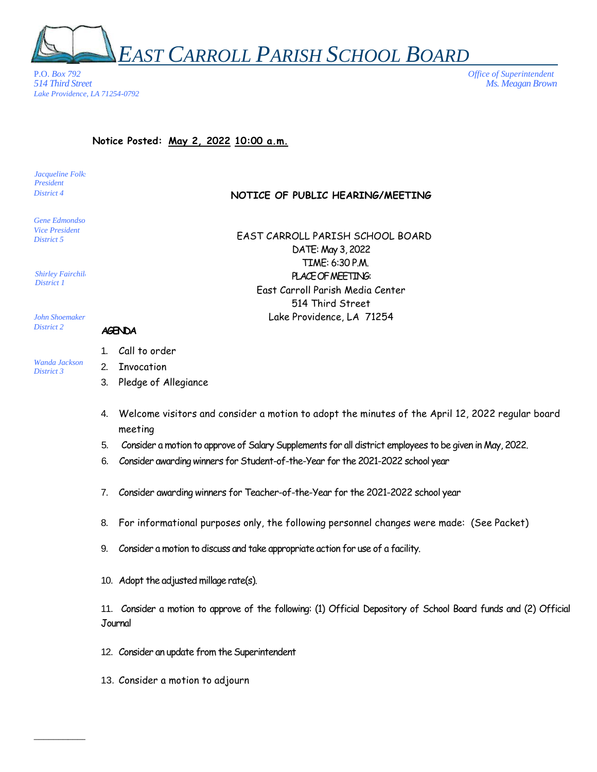

P.O. *Box 792 Office of Superintendent Lake Providence, LA 71254-0792*

*514 Third Street Ms. Meagan Brown*

## **Notice Posted: May 2, 2022 10:00 a.m.**

Jacqueline Folk: *President District 4*

Gene Edmondso. *Vice President District 5*

*Shirley Fairchild District 1*

EAST CARROLL PARISH SCHOOL BOARD DATE: May 3, 2022 TIME: 6:30 P.M. PLACEOF MEETING: East Carroll Parish Media Center

> 514 Third Street Lake Providence, LA 71254

**NOTICE OF PUBLIC HEARING/MEETING**

*John Shoemaker District 2*

*Wanda Jackson District 3*

## **AGENDA**

- 1. Call to order
- 2. Invocation
- 3. Pledge of Allegiance
- 4. Welcome visitors and consider a motion to adopt the minutes of the April 12, 2022 regular board meeting
- 5. Consider a motion to approve of Salary Supplements for all district employees to be given in May, 2022.
- 6. Consider awarding winners for Student-of-the-Year for the 2021-2022 school year
- 7. Consider awarding winners for Teacher-of-the-Year for the 2021-2022 school year

\_\_\_\_\_\_\_\_\_\_\_\_\_\_\_\_\_\_\_\_\_\_\_\_\_\_\_\_\_\_\_\_\_\_\_\_\_\_\_\_\_\_\_\_\_\_\_\_\_\_\_\_\_\_\_\_\_\_\_\_\_\_\_\_\_\_\_\_\_\_\_\_\_\_\_\_\_\_\_\_\_\_\_\_\_\_\_\_\_\_\_\_\_\_\_\_\_\_\_\_\_\_\_\_\_\_\_

- 8. For informational purposes only, the following personnel changes were made: (See Packet)
- 9. Consider a motion to discuss and take appropriate action for use of a facility.
- 10. Adopt the adjusted millage rate(s).

11. Consider a motion to approve of the following: (1) Official Depository of School Board funds and (2) Official Journal

- 12. Consider an update from the Superintendent
- 13. Consider a motion to adjourn